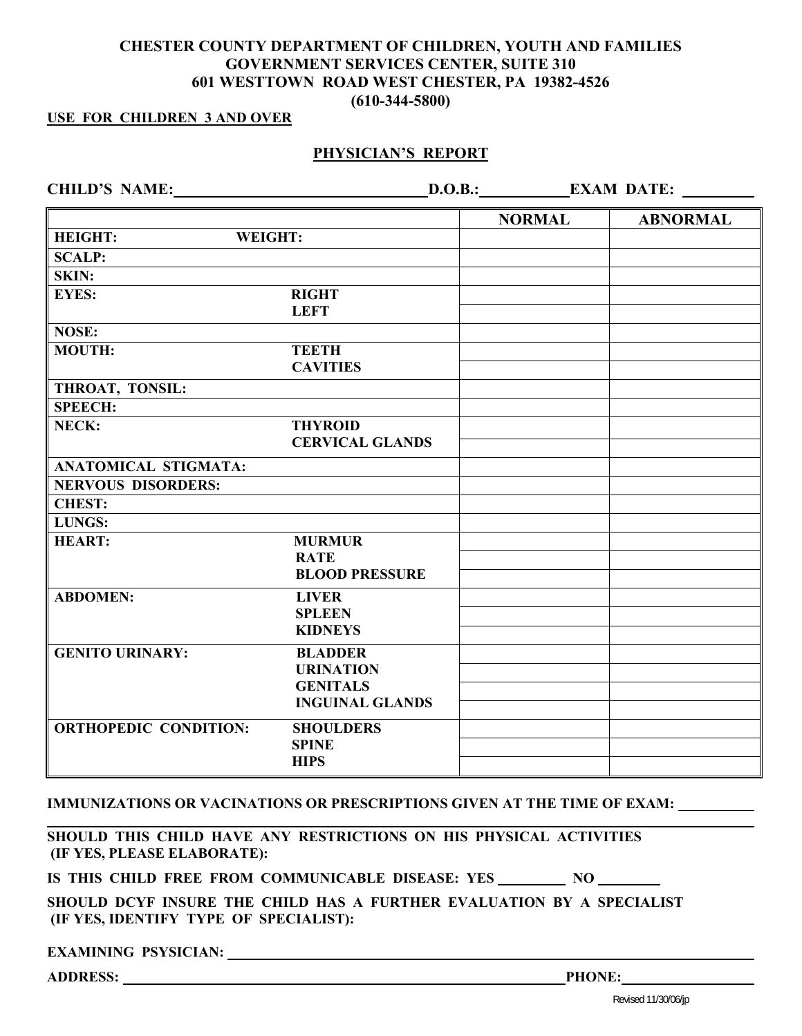## **CHESTER COUNTY DEPARTMENT OF CHILDREN, YOUTH AND FAMILIES GOVERNMENT SERVICES CENTER, SUITE 310 601 WESTTOWN ROAD WEST CHESTER, PA 19382-4526 (610-344-5800)**

### **USE FOR CHILDREN 3 AND OVER**

## **PHYSICIAN'S REPORT**

**CHILD'S NAME:** D.O.B.: **D.O.B.: EXAM DATE:** <u>EXAM DATE:</u>

|                              |                        | <b>NORMAL</b> | <b>ABNORMAL</b> |
|------------------------------|------------------------|---------------|-----------------|
| WEIGHT:<br><b>HEIGHT:</b>    |                        |               |                 |
| <b>SCALP:</b>                |                        |               |                 |
| SKIN:                        |                        |               |                 |
| <b>EYES:</b>                 | <b>RIGHT</b>           |               |                 |
|                              | <b>LEFT</b>            |               |                 |
| <b>NOSE:</b>                 |                        |               |                 |
| <b>MOUTH:</b>                | <b>TEETH</b>           |               |                 |
|                              | <b>CAVITIES</b>        |               |                 |
| THROAT, TONSIL:              |                        |               |                 |
| <b>SPEECH:</b>               |                        |               |                 |
| NECK:                        | <b>THYROID</b>         |               |                 |
|                              | <b>CERVICAL GLANDS</b> |               |                 |
| <b>ANATOMICAL STIGMATA:</b>  |                        |               |                 |
| <b>NERVOUS DISORDERS:</b>    |                        |               |                 |
| <b>CHEST:</b>                |                        |               |                 |
| LUNGS:                       |                        |               |                 |
| <b>HEART:</b>                | <b>MURMUR</b>          |               |                 |
|                              | <b>RATE</b>            |               |                 |
|                              | <b>BLOOD PRESSURE</b>  |               |                 |
| <b>ABDOMEN:</b>              | <b>LIVER</b>           |               |                 |
|                              | <b>SPLEEN</b>          |               |                 |
|                              | <b>KIDNEYS</b>         |               |                 |
| <b>GENITO URINARY:</b>       | <b>BLADDER</b>         |               |                 |
|                              | <b>URINATION</b>       |               |                 |
|                              | <b>GENITALS</b>        |               |                 |
|                              | <b>INGUINAL GLANDS</b> |               |                 |
| <b>ORTHOPEDIC CONDITION:</b> | <b>SHOULDERS</b>       |               |                 |
|                              | <b>SPINE</b>           |               |                 |
|                              | <b>HIPS</b>            |               |                 |

#### **IMMUNIZATIONS OR VACINATIONS OR PRESCRIPTIONS GIVEN AT THE TIME OF EXAM:**

**SHOULD THIS CHILD HAVE ANY RESTRICTIONS ON HIS PHYSICAL ACTIVITIES (IF YES, PLEASE ELABORATE):** 

IS THIS CHILD FREE FROM COMMUNICABLE DISEASE: YES NO

**SHOULD DCYF INSURE THE CHILD HAS A FURTHER EVALUATION BY A SPECIALIST (IF YES, IDENTIFY TYPE OF SPECIALIST):** 

**EXAMINING PSYSICIAN:** 

ADDRESS: <u>Phone:</u> Phone: